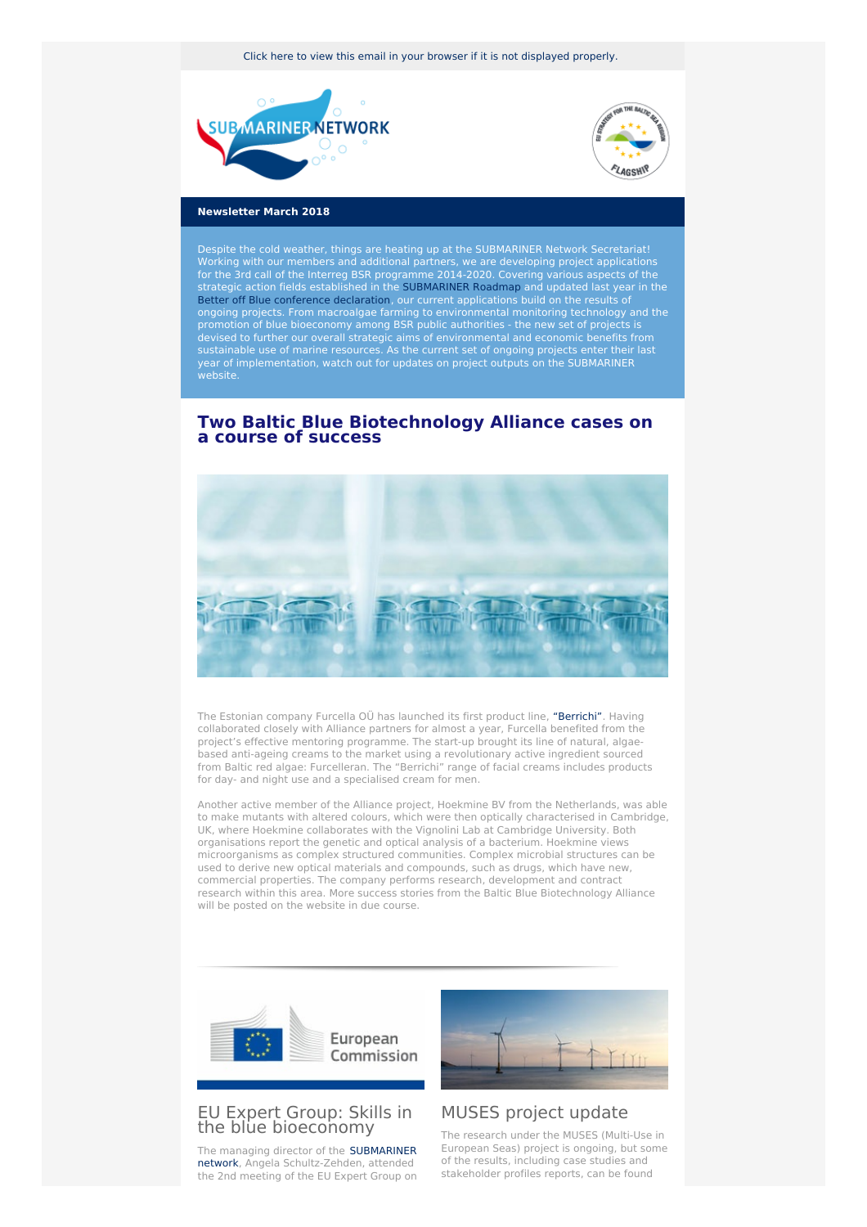Click here to view this email in your browser if it is not [displayed](http://www.newsletter-webversion.de/testmail/) properly.





#### **Newsletter March 2018**

Despite the cold weather, things are heating up at the SUBMARINER Network Secretariat! Working with our members and additional partners, we are developing project applications for the 3rd call of the Interreg BSR programme 2014-2020. Covering various aspects of the strategic action fields established in the [SUBMARINER](https://www.submariner-network.eu/images/downloads/sub-roadmap-2015-web.pdf) Roadmap and updated last year in the Better off Blue [conference](https://www.submariner-network.eu/files/1_CP_ASchultz-Zehden.pdf) declaration, our current applications build on the results of ongoing projects. From macroalgae farming to environmental monitoring technology and the promotion of blue bioeconomy among BSR public authorities - the new set of projects is devised to further our overall strategic aims of environmental and economic benefits from sustainable use of marine resources. As the current set of ongoing projects enter their last year of implementation, watch out for updates on project outputs on the SUBMARINER website.

## **Two Baltic Blue Biotechnology Alliance cases on a course of success**



The Estonian company Furcella OÜ has launched its first product line, ["Berrichi"](https://www.submariner-network.eu/projects/balticbluebioalliance/alliance-news/290-baltic-blue-biotechnology-alliance-first-marine-bioproduct-success). Having collaborated closely with Alliance partners for almost a year, Furcella benefited from the project's effective mentoring programme. The start-up brought its line of natural, algaebased anti-ageing creams to the market using a revolutionary active ingredient sourced from Baltic red algae: Furcelleran. The "Berrichi" range of facial creams includes products for day- and night use and a specialised cream for men.

Another active member of the Alliance project, Hoekmine BV from the Netherlands, was able to make mutants with altered colours, which were then optically characterised in Cambridge, UK, where Hoekmine collaborates with the Vignolini Lab at Cambridge University. Both organisations report the genetic and optical analysis of a bacterium. Hoekmine views microorganisms as complex structured communities. Complex microbial structures can be used to derive new optical materials and compounds, such as drugs, which have new, commercial properties. The company performs research, development and contract research within this area. More success stories from the Baltic Blue Biotechnology Alliance will be posted on the website in due course.



## EU Expert Group: Skills in the blue [bioeconomy](https://webgate.ec.europa.eu/maritimeforum/en/frontpage/1145)

The managing director of the SUBMARINER network, Angela [Schultz-Zehden,](https://www.submariner-network.eu/) attended the 2nd meeting of the EU Expert Group on



# MUSES [project](https://www.submariner-network.eu/news/general-news/297-muses-multi-use-in-european-seas-project-update) update

The research under the MUSES (Multi-Use in European Seas) project is ongoing, but some of the results, including case studies and stakeholder profiles reports, can be found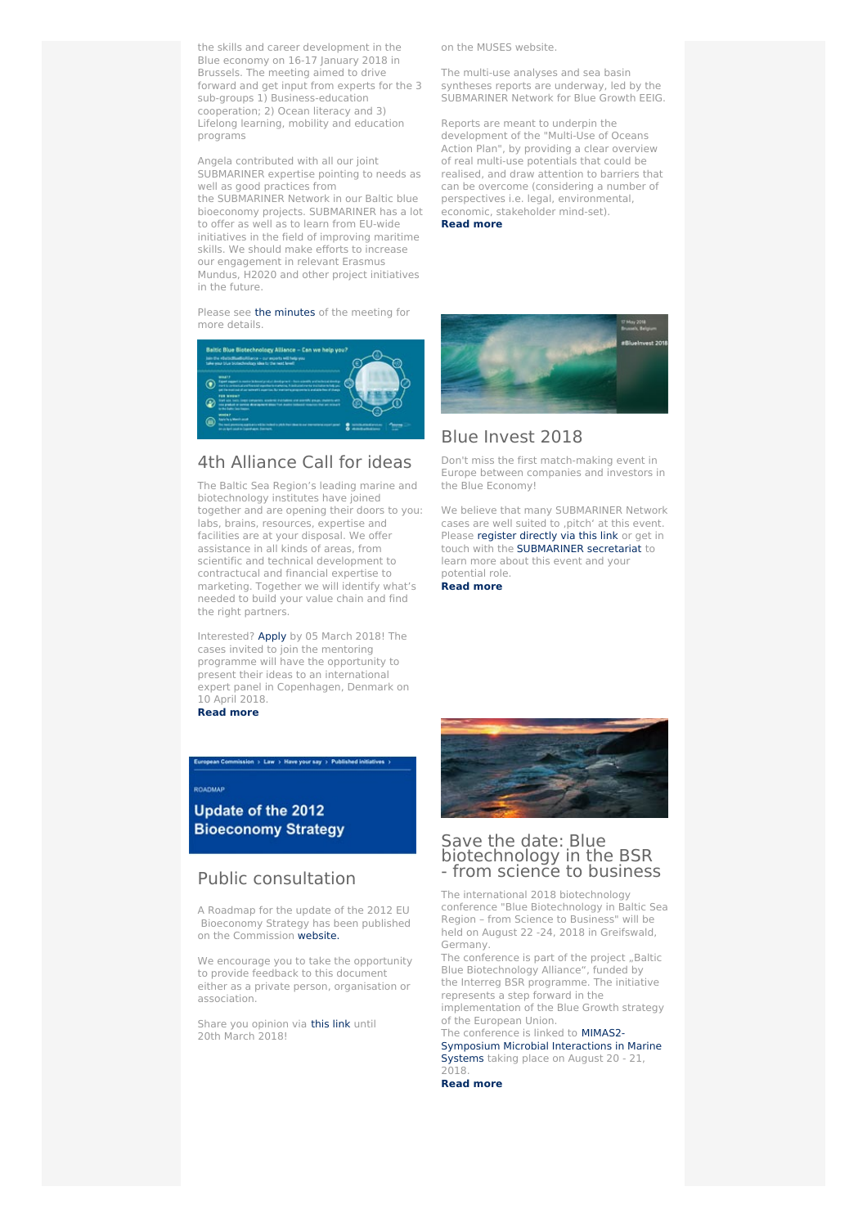the skills and career development in the Blue economy on 16-17 January 2018 in Brussels. The meeting aimed to drive forward and get input from experts for the 3 sub-groups 1) Business-education cooperation; 2) Ocean literacy and 3) Lifelong learning, mobility and education programs

Angela contributed with all our joint SUBMARINER expertise pointing to needs as well as good practices from the SUBMARINER Network in our Baltic blue bioeconomy projects. SUBMARINER has a lot to offer as well as to learn from EU-wide initiatives in the field of improving maritime skills. We should make efforts to increase our engagement in relevant Erasmus Mundus, H2020 and other project initiatives in the future.

Please see the [minutes](https://webgate.ec.europa.eu/maritimeforum/en/frontpage/1145) of the meeting for more details.



# 4th [Alliance](https://www.submariner-network.eu/projects/balticbluebioalliance/alliance-news/289-4th-alliance-call-for-ideas) Call for ideas

The Baltic Sea Region's leading marine and biotechnology institutes have joined together and are opening their doors to you: labs, brains, resources, expertise and facilities are at your disposal. We offer assistance in all kinds of areas, from scientific and technical development to contractucal and financial expertise to marketing. Together we will identify what's needed to build your value chain and find the right partners.

Interested? [Apply](https://www.submariner-network.eu/images/news/2017/Alliance_application_form_winter2018_interactive.pdf) by 05 March 2018! The cases invited to join the mentoring programme will have the opportunity to present their ideas to an international expert panel in Copenhagen, Denmark on 10 April 2018.

opean Commission > Law > Have your say > Published initiatives >

**[Read](https://www.submariner-network.eu/images/news/2017/4thCall_multipage.pdf) more**

#### ROADMAP

Update of the 2012 **Bioeconomy Strategy** 

# Public [consultation](http://ec.europa.eu/info/law/better-regulation/initiatives/ares-2018-975361_en#initiative-recentfeedback.)

A Roadmap for the update of the 2012 EU Bioeconomy Strategy has been published on the Commission [website.](http://ec.europa.eu/info/law/better-regulation/initiatives/ares-2018-975361_en#initiative-recentfeedback.)

We encourage you to take the opportunity to provide feedback to this document either as a private person, organisation or association.

Share you opinion via [this](http://ec.europa.eu/info/law/better-regulation/initiatives/ares-2018-975361_en#initiative-recentfeedback.) link until 20th March 2018!

on the MUSES website.

The multi-use analyses and sea basin syntheses reports are underway, led by the SUBMARINER Network for Blue Growth EEIG.

Reports are meant to underpin the development of the "Multi-Use of Oceans Action Plan", by providing a clear overview of real multi-use potentials that could be realised, and draw attention to barriers that can be overcome (considering a number of perspectives i.e. legal, environmental, economic, stakeholder mind-set).

#### **Read [more](https://www.submariner-network.eu/news/general-news/297-muses-multi-use-in-european-seas-project-update)**



# Blue [Invest](https://blue-invest-2018.b2match.io) 2018

Don't miss the first match-making event in Europe between companies and investors in the Blue Economy!

We believe that many SUBMARINER Network cases are well suited to ,pitch' at this event. Please [register](https://blue-invest-2018.b2match.io) directly via this link or get in touch with the [SUBMARINER](https://www.submariner-network.eu/network/secretariat) secretariat to learn more about this event and your potential role.

**Read [more](https://blue-invest-2018.b2match.io)**



## Save the date: Blue [biotechnology](https://www.submariner-network.eu/projects/balticbluebioalliance/conference) in the BSR - from science to business

The international 2018 biotechnology conference "Blue Biotechnology in Baltic Sea Region – from Science to Business" will be held on August 22 -24, 2018 in Greifswald, Germany.

The conference is part of the project "Baltic Blue Biotechnology Alliance", funded by the Interreg BSR programme. The initiative represents a step forward in the implementation of the Blue Growth strategy

of the European Union. The conference is linked to **MIMAS2-**

Symposium Microbial [Interactions](http://mimas2018.marine-biotechnologie.de/) in Marine Systems taking place on August 20 - 21, 2018.

**Read [more](https://www.submariner-network.eu/projects/balticbluebioalliance/conference)**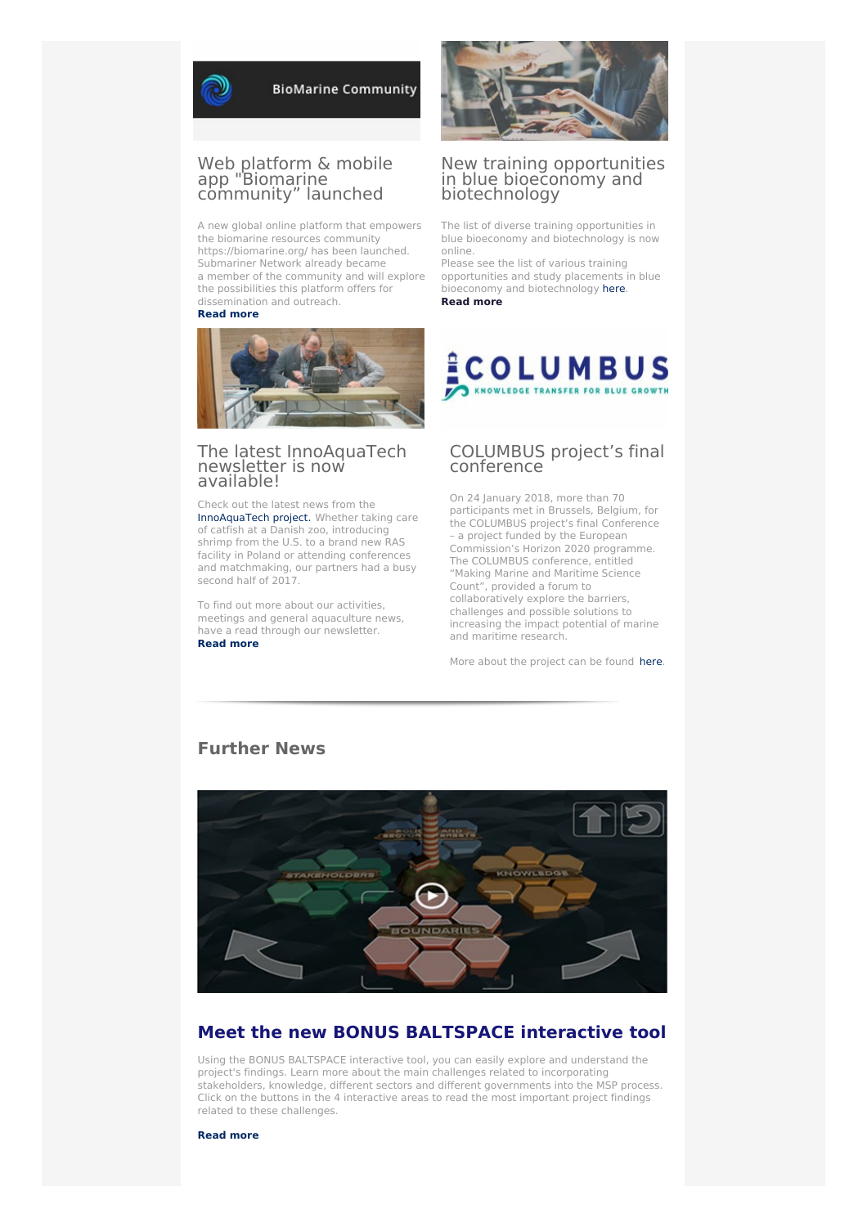

**BioMarine Community** 

## Web platform & mobile app ["Biomarine](https://biomarine.org/) community" launched

A new global online platform that empowers the biomarine resources community https://biomarine.org/ has been launched. Submariner Network already became a member of the community and will explore the possibilities this platform offers for dissemination and outreach.

#### **[Read](https://biomarine.org/) more**



#### The latest [InnoAquaTech](https://www.submariner-network.eu/projects/innoaquatech/innoaquatech-news/288-the-latest-innoaquatech-newsletter-is-now-available) newsletter is now available[!](https://www.submariner-network.eu/projects/innoaquatech/innoaquatech-news/275-business-and-research-come-together-for-aquaculture-europe-17)

Check out the latest news from the [InnoAquaTech](https://www.submariner-network.eu/projects/innoaquatech) project. Whether taking care of catfish at a Danish zoo, introducing shrimp from the U.S. to a brand new RAS facility in Poland or attending conferences and matchmaking, our partners had a busy second half of 2017.

To find out more about our activities, meetings and general aquaculture news, have a read through our newsletter. **[Read](https://www.submariner-network.eu/projects/innoaquatech/innoaquatech-news/288-the-latest-innoaquatech-newsletter-is-now-available) more**



### New training opportunities in blue [bioeconomy](https://www.submariner-network.eu/news/general-news/282-new-training-opportunities-in-bioeconomy-and-biotechnology) and biotechnology

The list of diverse training opportunities in blue bioeconomy and biotechnology is now online.

Please see the list of various training opportunities and study placements in blue bioeconomy and biotechnology [here](https://www.submariner-network.eu/projects/balticbluebioalliance/training-opportunities). **Read [more](https://www.submariner-network.eu/projects/balticbluebioalliance/training-opportunities)**



## [COLUMBUS](http://www.columbusproject.eu/) project's final conference

On 24 January 2018, more than 70 participants met in Brussels, Belgium, for the COLUMBUS project's final Conference – a project funded by the European Commission's Horizon 2020 programme. The COLUMBUS conference, entitled "Making Marine and Maritime Science Count", provided a forum to collaboratively explore the barriers, challenges and possible solutions to increasing the impact potential of marine and maritime research.

More about the project can be found [here](http://www.columbusproject.eu/).



## **Further News**

# **Meet the new BONUS [BALTSPACE](https://www.baltspace.eu) interactive tool**

Using the BONUS BALTSPACE interactive tool, you can easily explore and understand the project's findings. Learn more about the main challenges related to incorporating stakeholders, knowledge, different sectors and different governments into the MSP process. Click on the buttons in the 4 interactive areas to read the most important project findings related to these challenges.

**[Read](https://www.baltspace.eu) more**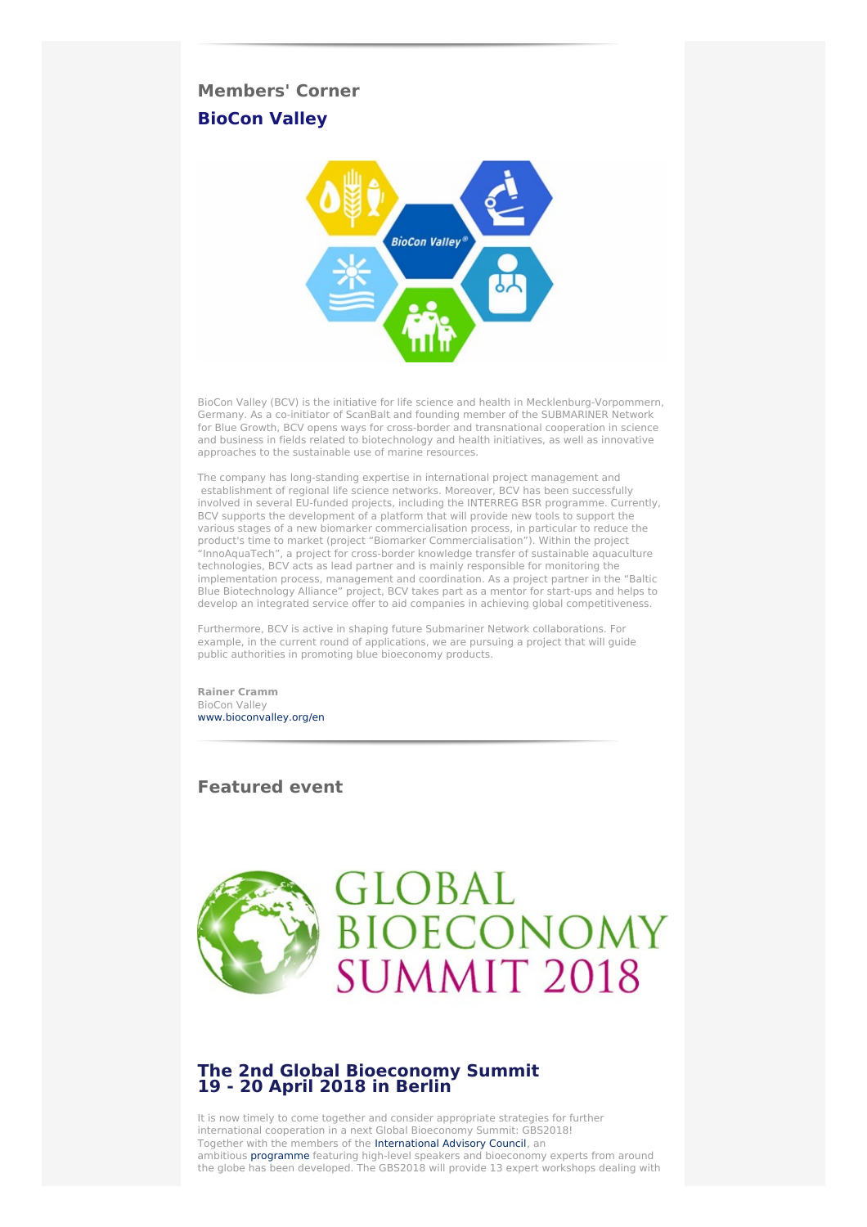# **Members' Corner [BioCon](http://www.bioconvalley.org/en/startseite/) Valley**



BioCon Valley (BCV) is the initiative for life science and health in Mecklenburg-Vorpommern, Germany. As a co-initiator of ScanBalt and founding member of the SUBMARINER Network for Blue Growth, BCV opens ways for cross-border and transnational cooperation in science and business in fields related to biotechnology and health initiatives, as well as innovative approaches to the sustainable use of marine resources.

The company has long-standing expertise in international project management and establishment of regional life science networks. Moreover, BCV has been successfully involved in several EU-funded projects, including the INTERREG BSR programme. Currently, BCV supports the development of a platform that will provide new tools to support the various stages of a new biomarker commercialisation process, in particular to reduce the product's time to market (project "Biomarker Commercialisation"). Within the project "InnoAquaTech", a project for cross-border knowledge transfer of sustainable aquaculture technologies, BCV acts as lead partner and is mainly responsible for monitoring the implementation process, management and coordination. As a project partner in the "Baltic Blue Biotechnology Alliance" project, BCV takes part as a mentor for start-ups and helps to develop an integrated service offer to aid companies in achieving global competitiveness.

Furthermore, BCV is active in shaping future Submariner Network collaborations. For example, in the current round of applications, we are pursuing a project that will guide public authorities in promoting blue bioeconomy products.

**Rainer Cramm** BioCon Valley [www.bioconvalley.org/en](http://www.bioconvalley.org/en/startseite/)

# **Featured event**



# **The 2nd Global [Bioeconomy](https://www.submariner-network.eu/events/101-professional-aquaculture-trainings-workshops-by-smartfish-in-2018-1-1-1) Summit 19 - 20 April 2018 in [Berlin](https://www.submariner-network.eu/events/101-professional-aquaculture-trainings-workshops-by-smartfish-in-2018-1-1-1)**

It is now timely to come together and consider appropriate strategies for further international cooperation in a next Global Bioeconomy Summit: GBS2018! Together with the members of the [International](http://gbs2018.com/summit/international-advisory-council/) Advisory Council, an ambitious [programme](http://gbs2018.com/program/) featuring high-level speakers and bioeconomy experts from around the globe has been developed. The GBS2018 will provide 13 expert workshops dealing with